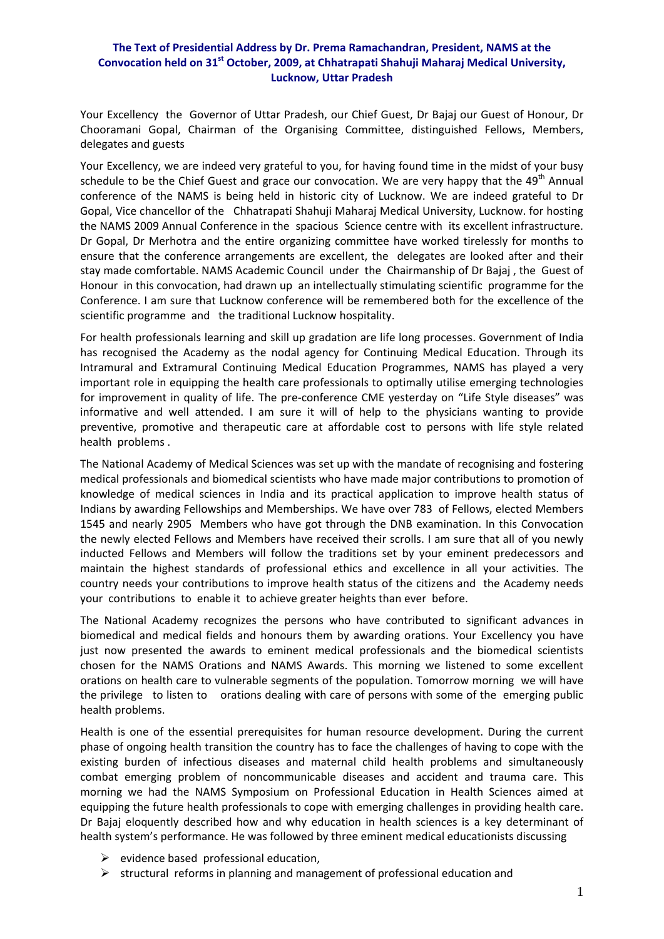## **The Text of Presidential Address by Dr. Prema Ramachandran, President, NAMS at the Convocation held on 31st October, 2009, at Chhatrapati Shahuji Maharaj Medical University, Lucknow, Uttar Pradesh**

Your Excellency the Governor of Uttar Pradesh, our Chief Guest, Dr Bajaj our Guest of Honour, Dr Chooramani Gopal, Chairman of the Organising Committee, distinguished Fellows, Members, delegates and guests

Your Excellency, we are indeed very grateful to you, for having found time in the midst of your busy schedule to be the Chief Guest and grace our convocation. We are very happy that the  $49<sup>th</sup>$  Annual conference of the NAMS is being held in historic city of Lucknow. We are indeed grateful to Dr Gopal, Vice chancellor of the Chhatrapati Shahuji Maharaj Medical University, Lucknow. for hosting the NAMS 2009 Annual Conference in the spacious Science centre with its excellent infrastructure. Dr Gopal, Dr Merhotra and the entire organizing committee have worked tirelessly for months to ensure that the conference arrangements are excellent, the delegates are looked after and their stay made comfortable. NAMS Academic Council under the Chairmanship of Dr Bajaj , the Guest of Honour in this convocation, had drawn up an intellectually stimulating scientific programme for the Conference. I am sure that Lucknow conference will be remembered both for the excellence of the scientific programme and the traditional Lucknow hospitality.

For health professionals learning and skill up gradation are life long processes. Government of India has recognised the Academy as the nodal agency for Continuing Medical Education. Through its Intramural and Extramural Continuing Medical Education Programmes, NAMS has played a very important role in equipping the health care professionals to optimally utilise emerging technologies for improvement in quality of life. The pre-conference CME yesterday on "Life Style diseases" was informative and well attended. I am sure it will of help to the physicians wanting to provide preventive, promotive and therapeutic care at affordable cost to persons with life style related health problems .

The National Academy of Medical Sciences was set up with the mandate of recognising and fostering medical professionals and biomedical scientists who have made major contributions to promotion of knowledge of medical sciences in India and its practical application to improve health status of Indians by awarding Fellowships and Memberships. We have over 783 of Fellows, elected Members 1545 and nearly 2905 Members who have got through the DNB examination. In this Convocation the newly elected Fellows and Members have received their scrolls. I am sure that all of you newly inducted Fellows and Members will follow the traditions set by your eminent predecessors and maintain the highest standards of professional ethics and excellence in all your activities. The country needs your contributions to improve health status of the citizens and the Academy needs your contributions to enable it to achieve greater heights than ever before.

The National Academy recognizes the persons who have contributed to significant advances in biomedical and medical fields and honours them by awarding orations. Your Excellency you have just now presented the awards to eminent medical professionals and the biomedical scientists chosen for the NAMS Orations and NAMS Awards. This morning we listened to some excellent orations on health care to vulnerable segments of the population. Tomorrow morning we will have the privilege to listen to orations dealing with care of persons with some of the emerging public health problems.

Health is one of the essential prerequisites for human resource development. During the current phase of ongoing health transition the country has to face the challenges of having to cope with the existing burden of infectious diseases and maternal child health problems and simultaneously combat emerging problem of noncommunicable diseases and accident and trauma care. This morning we had the NAMS Symposium on Professional Education in Health Sciences aimed at equipping the future health professionals to cope with emerging challenges in providing health care. Dr Bajaj eloquently described how and why education in health sciences is a key determinant of health system's performance. He was followed by three eminent medical educationists discussing

- $\triangleright$  evidence based professional education,
- $\triangleright$  structural reforms in planning and management of professional education and